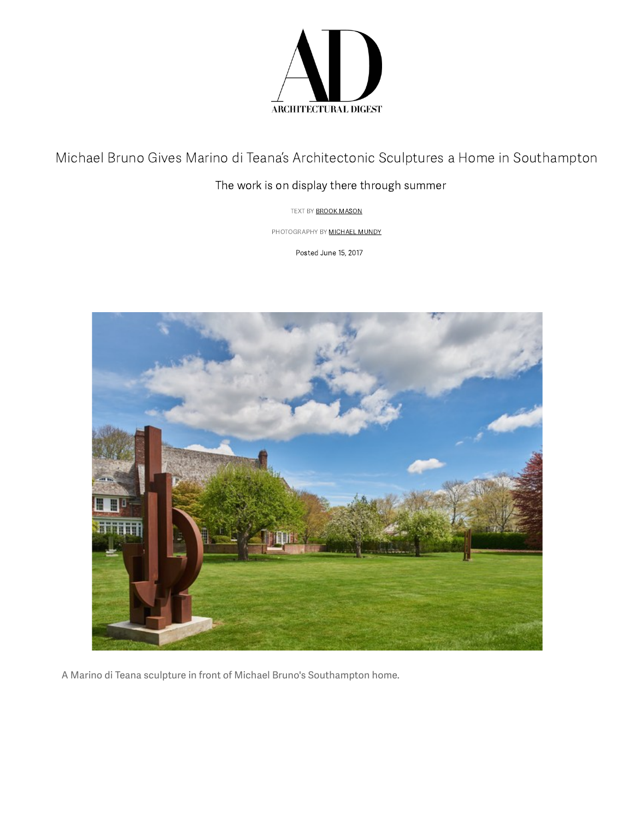

Michael Bruno Gives Marino di Teana's Architectonic Sculptures a Home in Southampton

## The work is on display there through summer

TEXT BY **BROOK MASON** 

PHOTOGRAPHY BY **MICHAEL MUNDY** 

Posted June 15, 2017



A Marino di Teana sculpture in front of Michael Bruno's Southampton home.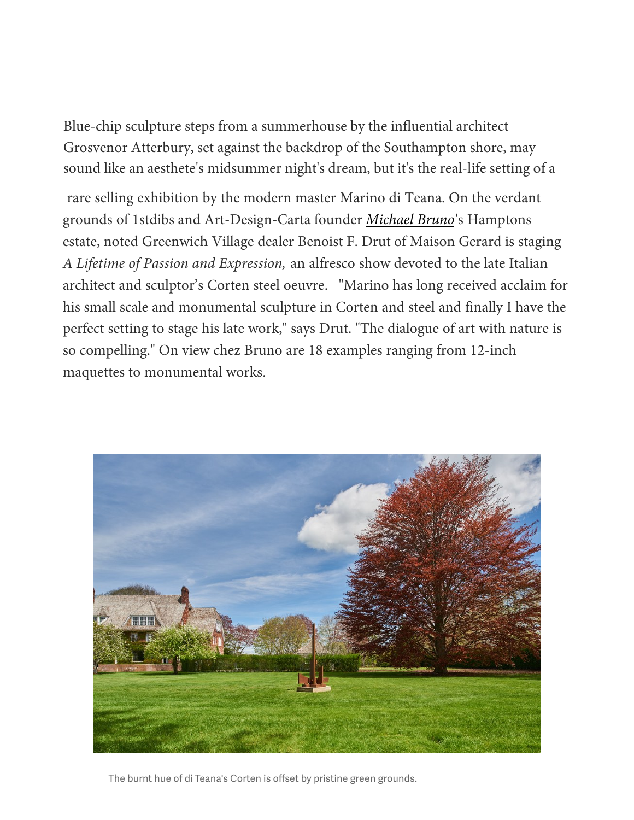Blue-chip sculpture steps from a summerhouse by the influential architect [Grosvenor Atterbury, set against the backdrop of the Southamp](http://www.architecturaldigest.com/story/martyn-lawrence-bullard-weekend-guide)ton shore, may sound like an aesthete's midsummer night's dream, but it's the real-life setting of a

[rare selling exhibition by the modern master Marino di Teana.](http://www.architecturaldigest.com/story/edith-wharton-and-napoleon-bonaparte-loved-these-italian-isles) On the verdant grounds of 1stdibs and Art-Design-Carta founder *Michael Bruno*'s Hamptons estate, noted Greenwich Village dealer Benoist F. [Drut of Maison](http://www.architecturaldigest.com/story/housepad-app) Gerard is staging *A Lifetime of Passion and Expression,* an alfresco show devoted to the late Italian architect and sculptor's Corten steel oeuvre. "Marino has long received acclaim for his small scale and monumental sculpture in Corten and steel and finally I have the perfect setting to stage his late work," says Drut. "The dialogue of art with nature is so compelling." On view chez Bruno are 18 examples ranging from 12-inch maquettes to monumental works.



The burnt hue of di Teana's Corten is offset by pristine green grounds.